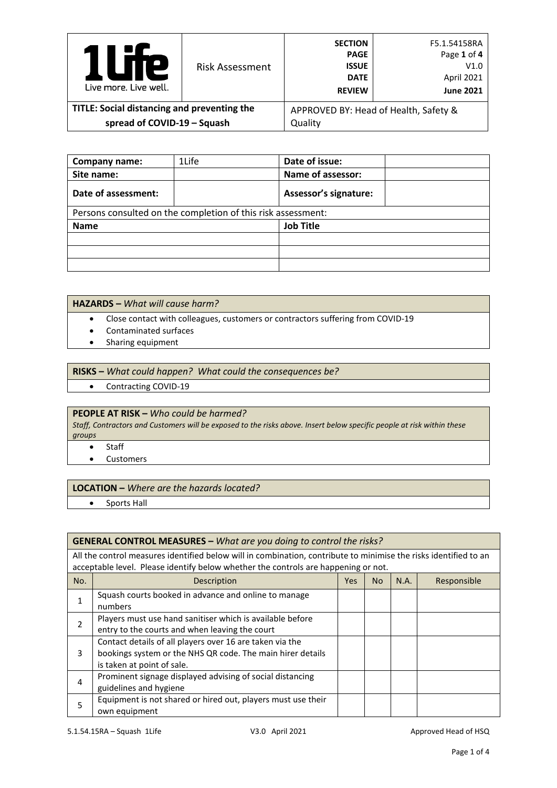| Р<br>Live more, Live well.                  | <b>Risk Assessment</b> | <b>SECTION</b><br><b>PAGE</b><br><b>ISSUE</b><br><b>DATE</b><br><b>REVIEW</b> | F5.1.54158RA<br>Page 1 of 4<br>V1.0<br>April 2021<br><b>June 2021</b> |
|---------------------------------------------|------------------------|-------------------------------------------------------------------------------|-----------------------------------------------------------------------|
| TITLE: Social distancing and preventing the |                        | APPROVED BY: Head of Health, Safety &                                         |                                                                       |
| spread of COVID-19 - Squash                 |                        | Quality                                                                       |                                                                       |

| Company name:                                                | 1Life | Date of issue:               |  |  |  |
|--------------------------------------------------------------|-------|------------------------------|--|--|--|
| Site name:                                                   |       | Name of assessor:            |  |  |  |
| Date of assessment:                                          |       | <b>Assessor's signature:</b> |  |  |  |
| Persons consulted on the completion of this risk assessment: |       |                              |  |  |  |
| <b>Name</b>                                                  |       | <b>Job Title</b>             |  |  |  |
|                                                              |       |                              |  |  |  |
|                                                              |       |                              |  |  |  |
|                                                              |       |                              |  |  |  |

### **HAZARDS –** *What will cause harm?*

- Close contact with colleagues, customers or contractors suffering from COVID-19
- Contaminated surfaces
- Sharing equipment

#### **RISKS –** *What could happen? What could the consequences be?*

• Contracting COVID-19

## **PEOPLE AT RISK –** *Who could be harmed?*

*Staff, Contractors and Customers will be exposed to the risks above. Insert below specific people at risk within these groups*

- Staff
- Customers

#### **LOCATION –** *Where are the hazards located?*

• Sports Hall

#### **GENERAL CONTROL MEASURES –** *What are you doing to control the risks?*

All the control measures identified below will in combination, contribute to minimise the risks identified to an acceptable level. Please identify below whether the controls are happening or not.

| No. | Description                                                                                                                                          | <b>Yes</b> | N <sub>o</sub> | N.A. | Responsible |
|-----|------------------------------------------------------------------------------------------------------------------------------------------------------|------------|----------------|------|-------------|
|     | Squash courts booked in advance and online to manage<br>numbers                                                                                      |            |                |      |             |
|     | Players must use hand sanitiser which is available before<br>entry to the courts and when leaving the court                                          |            |                |      |             |
| 3   | Contact details of all players over 16 are taken via the<br>bookings system or the NHS QR code. The main hirer details<br>is taken at point of sale. |            |                |      |             |
| 4   | Prominent signage displayed advising of social distancing<br>guidelines and hygiene                                                                  |            |                |      |             |
| 5   | Equipment is not shared or hired out, players must use their<br>own equipment                                                                        |            |                |      |             |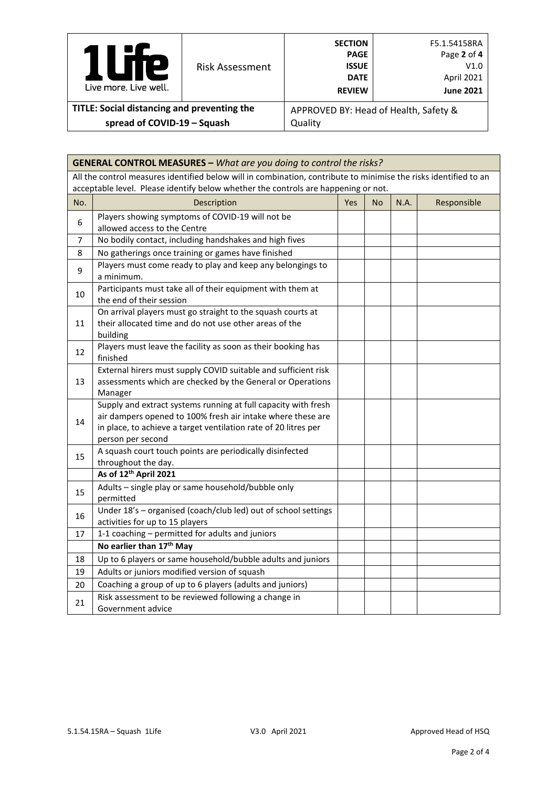| L<br>Live more, Live well.                  | <b>Risk Assessment</b> | <b>SECTION</b><br><b>PAGE</b><br><b>ISSUE</b><br><b>DATE</b><br><b>REVIEW</b> | F5.1.54158RA<br>Page 2 of 4<br>V1.0<br>April 2021<br><b>June 2021</b> |  |
|---------------------------------------------|------------------------|-------------------------------------------------------------------------------|-----------------------------------------------------------------------|--|
| TITLE: Social distancing and preventing the |                        | APPROVED BY: Head of Health, Safety &                                         |                                                                       |  |
| spread of COVID-19 - Squash                 |                        | Quality                                                                       |                                                                       |  |

|     | <b>GENERAL CONTROL MEASURES - What are you doing to control the risks?</b>                                       |     |           |      |             |
|-----|------------------------------------------------------------------------------------------------------------------|-----|-----------|------|-------------|
|     | All the control measures identified below will in combination, contribute to minimise the risks identified to an |     |           |      |             |
|     | acceptable level. Please identify below whether the controls are happening or not.                               |     |           |      |             |
| No. | Description                                                                                                      | Yes | <b>No</b> | N.A. | Responsible |
| 6   | Players showing symptoms of COVID-19 will not be                                                                 |     |           |      |             |
|     | allowed access to the Centre                                                                                     |     |           |      |             |
| 7   | No bodily contact, including handshakes and high fives                                                           |     |           |      |             |
| 8   | No gatherings once training or games have finished                                                               |     |           |      |             |
| 9   | Players must come ready to play and keep any belongings to<br>a minimum.                                         |     |           |      |             |
| 10  | Participants must take all of their equipment with them at<br>the end of their session                           |     |           |      |             |
|     | On arrival players must go straight to the squash courts at                                                      |     |           |      |             |
| 11  | their allocated time and do not use other areas of the                                                           |     |           |      |             |
|     | building                                                                                                         |     |           |      |             |
| 12  | Players must leave the facility as soon as their booking has<br>finished                                         |     |           |      |             |
|     | External hirers must supply COVID suitable and sufficient risk                                                   |     |           |      |             |
| 13  | assessments which are checked by the General or Operations                                                       |     |           |      |             |
|     | Manager                                                                                                          |     |           |      |             |
|     | Supply and extract systems running at full capacity with fresh                                                   |     |           |      |             |
| 14  | air dampers opened to 100% fresh air intake where these are                                                      |     |           |      |             |
|     | in place, to achieve a target ventilation rate of 20 litres per<br>person per second                             |     |           |      |             |
|     | A squash court touch points are periodically disinfected                                                         |     |           |      |             |
| 15  | throughout the day.                                                                                              |     |           |      |             |
|     | As of 12th April 2021                                                                                            |     |           |      |             |
|     | Adults - single play or same household/bubble only                                                               |     |           |      |             |
| 15  | permitted                                                                                                        |     |           |      |             |
|     | Under 18's - organised (coach/club led) out of school settings                                                   |     |           |      |             |
| 16  | activities for up to 15 players                                                                                  |     |           |      |             |
| 17  | 1-1 coaching - permitted for adults and juniors                                                                  |     |           |      |             |
|     | No earlier than 17th May                                                                                         |     |           |      |             |
| 18  | Up to 6 players or same household/bubble adults and juniors                                                      |     |           |      |             |
| 19  | Adults or juniors modified version of squash                                                                     |     |           |      |             |
| 20  | Coaching a group of up to 6 players (adults and juniors)                                                         |     |           |      |             |
| 21  | Risk assessment to be reviewed following a change in                                                             |     |           |      |             |
|     | Government advice                                                                                                |     |           |      |             |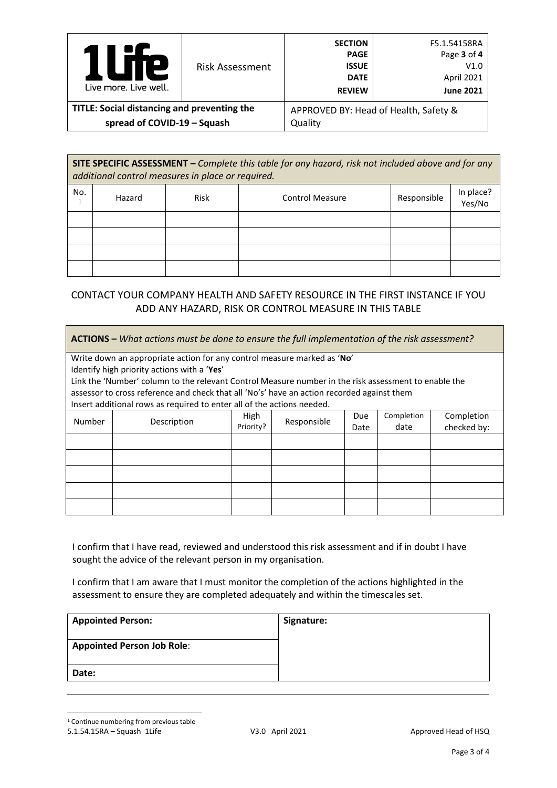| Р<br>Live more, Live well.                  | <b>Risk Assessment</b> | <b>SECTION</b><br><b>PAGE</b><br><b>ISSUE</b><br><b>DATE</b><br><b>REVIEW</b> | F5.1.54158RA<br>Page 3 of 4<br>V1.0<br>April 2021<br><b>June 2021</b> |
|---------------------------------------------|------------------------|-------------------------------------------------------------------------------|-----------------------------------------------------------------------|
| TITLE: Social distancing and preventing the |                        | APPROVED BY: Head of Health, Safety &                                         |                                                                       |
| spread of COVID-19 - Squash                 |                        | Quality                                                                       |                                                                       |

**SITE SPECIFIC ASSESSMENT –** *Complete this table for any hazard, risk not included above and for any additional control measures in place or required.*

| No. | Hazard | Risk | <b>Control Measure</b> | Responsible | In place?<br>Yes/No |
|-----|--------|------|------------------------|-------------|---------------------|
|     |        |      |                        |             |                     |
|     |        |      |                        |             |                     |
|     |        |      |                        |             |                     |
|     |        |      |                        |             |                     |

# CONTACT YOUR COMPANY HEALTH AND SAFETY RESOURCE IN THE FIRST INSTANCE IF YOU ADD ANY HAZARD, RISK OR CONTROL MEASURE IN THIS TABLE

| <b>ACTIONS</b> – What actions must be done to ensure the full implementation of the risk assessment? |                                                                                                      |           |             |      |            |             |
|------------------------------------------------------------------------------------------------------|------------------------------------------------------------------------------------------------------|-----------|-------------|------|------------|-------------|
|                                                                                                      | Write down an appropriate action for any control measure marked as 'No'                              |           |             |      |            |             |
|                                                                                                      | Identify high priority actions with a 'Yes'                                                          |           |             |      |            |             |
|                                                                                                      | Link the 'Number' column to the relevant Control Measure number in the risk assessment to enable the |           |             |      |            |             |
|                                                                                                      | assessor to cross reference and check that all 'No's' have an action recorded against them           |           |             |      |            |             |
|                                                                                                      | Insert additional rows as required to enter all of the actions needed.                               |           |             |      |            |             |
| Number                                                                                               | Description                                                                                          | High      | Responsible | Due  | Completion | Completion  |
|                                                                                                      |                                                                                                      | Priority? |             | Date | date       | checked by: |
|                                                                                                      |                                                                                                      |           |             |      |            |             |
|                                                                                                      |                                                                                                      |           |             |      |            |             |
|                                                                                                      |                                                                                                      |           |             |      |            |             |
|                                                                                                      |                                                                                                      |           |             |      |            |             |
|                                                                                                      |                                                                                                      |           |             |      |            |             |

I confirm that I have read, reviewed and understood this risk assessment and if in doubt I have sought the advice of the relevant person in my organisation.

I confirm that I am aware that I must monitor the completion of the actions highlighted in the assessment to ensure they are completed adequately and within the timescales set.

<span id="page-2-0"></span>

| <b>Appointed Person:</b>          | Signature: |
|-----------------------------------|------------|
| <b>Appointed Person Job Role:</b> |            |
| Date:                             |            |